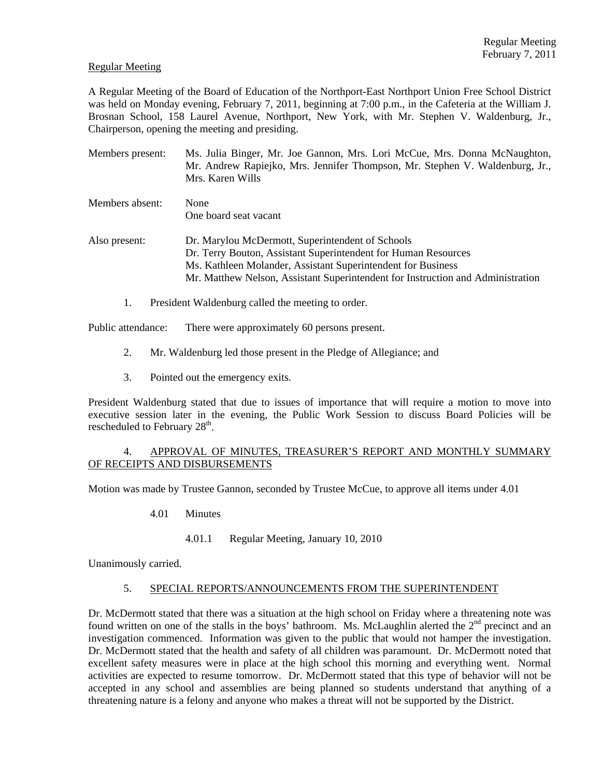## Regular Meeting

A Regular Meeting of the Board of Education of the Northport-East Northport Union Free School District was held on Monday evening, February 7, 2011, beginning at 7:00 p.m., in the Cafeteria at the William J. Brosnan School, 158 Laurel Avenue, Northport, New York, with Mr. Stephen V. Waldenburg, Jr., Chairperson, opening the meeting and presiding.

- Members present: Ms. Julia Binger, Mr. Joe Gannon, Mrs. Lori McCue, Mrs. Donna McNaughton, Mr. Andrew Rapiejko, Mrs. Jennifer Thompson, Mr. Stephen V. Waldenburg, Jr., Mrs. Karen Wills
- Members absent: None One board seat vacant
- Also present: Dr. Marylou McDermott, Superintendent of Schools Dr. Terry Bouton, Assistant Superintendent for Human Resources Ms. Kathleen Molander, Assistant Superintendent for Business Mr. Matthew Nelson, Assistant Superintendent for Instruction and Administration
	- 1. President Waldenburg called the meeting to order.

Public attendance: There were approximately 60 persons present.

- 2. Mr. Waldenburg led those present in the Pledge of Allegiance; and
- 3. Pointed out the emergency exits.

President Waldenburg stated that due to issues of importance that will require a motion to move into executive session later in the evening, the Public Work Session to discuss Board Policies will be rescheduled to February  $28<sup>th</sup>$ .

# 4. APPROVAL OF MINUTES, TREASURER'S REPORT AND MONTHLY SUMMARY OF RECEIPTS AND DISBURSEMENTS

Motion was made by Trustee Gannon, seconded by Trustee McCue, to approve all items under 4.01

- 4.01 Minutes
	- 4.01.1 Regular Meeting, January 10, 2010

Unanimously carried.

#### 5. SPECIAL REPORTS/ANNOUNCEMENTS FROM THE SUPERINTENDENT

Dr. McDermott stated that there was a situation at the high school on Friday where a threatening note was found written on one of the stalls in the boys' bathroom. Ms. McLaughlin alerted the 2<sup>nd</sup> precinct and an investigation commenced. Information was given to the public that would not hamper the investigation. Dr. McDermott stated that the health and safety of all children was paramount. Dr. McDermott noted that excellent safety measures were in place at the high school this morning and everything went. Normal activities are expected to resume tomorrow. Dr. McDermott stated that this type of behavior will not be accepted in any school and assemblies are being planned so students understand that anything of a threatening nature is a felony and anyone who makes a threat will not be supported by the District.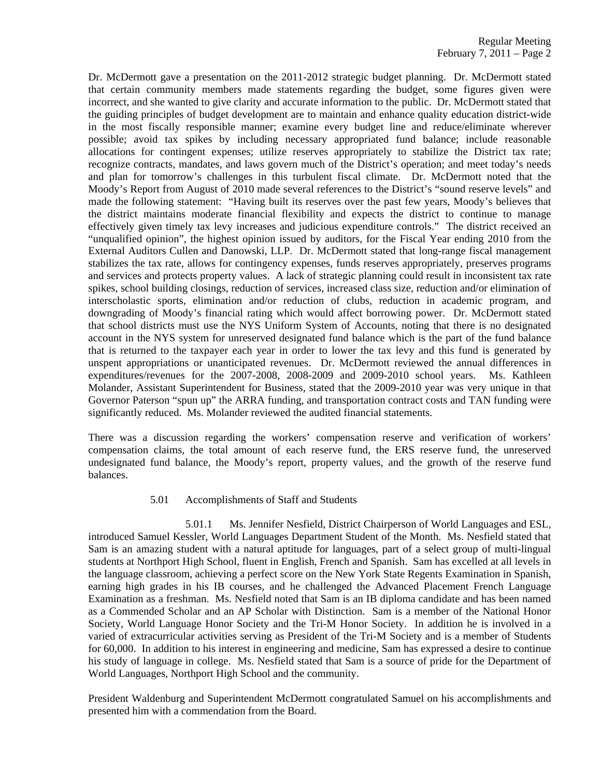Dr. McDermott gave a presentation on the 2011-2012 strategic budget planning. Dr. McDermott stated that certain community members made statements regarding the budget, some figures given were incorrect, and she wanted to give clarity and accurate information to the public. Dr. McDermott stated that the guiding principles of budget development are to maintain and enhance quality education district-wide in the most fiscally responsible manner; examine every budget line and reduce/eliminate wherever possible; avoid tax spikes by including necessary appropriated fund balance; include reasonable allocations for contingent expenses; utilize reserves appropriately to stabilize the District tax rate; recognize contracts, mandates, and laws govern much of the District's operation; and meet today's needs and plan for tomorrow's challenges in this turbulent fiscal climate. Dr. McDermott noted that the Moody's Report from August of 2010 made several references to the District's "sound reserve levels" and made the following statement: "Having built its reserves over the past few years, Moody's believes that the district maintains moderate financial flexibility and expects the district to continue to manage effectively given timely tax levy increases and judicious expenditure controls." The district received an "unqualified opinion", the highest opinion issued by auditors, for the Fiscal Year ending 2010 from the External Auditors Cullen and Danowski, LLP. Dr. McDermott stated that long-range fiscal management stabilizes the tax rate, allows for contingency expenses, funds reserves appropriately, preserves programs and services and protects property values. A lack of strategic planning could result in inconsistent tax rate spikes, school building closings, reduction of services, increased class size, reduction and/or elimination of interscholastic sports, elimination and/or reduction of clubs, reduction in academic program, and downgrading of Moody's financial rating which would affect borrowing power. Dr. McDermott stated that school districts must use the NYS Uniform System of Accounts, noting that there is no designated account in the NYS system for unreserved designated fund balance which is the part of the fund balance that is returned to the taxpayer each year in order to lower the tax levy and this fund is generated by unspent appropriations or unanticipated revenues. Dr. McDermott reviewed the annual differences in expenditures/revenues for the 2007-2008, 2008-2009 and 2009-2010 school years. Ms. Kathleen Molander, Assistant Superintendent for Business, stated that the 2009-2010 year was very unique in that Governor Paterson "spun up" the ARRA funding, and transportation contract costs and TAN funding were significantly reduced. Ms. Molander reviewed the audited financial statements.

There was a discussion regarding the workers' compensation reserve and verification of workers' compensation claims, the total amount of each reserve fund, the ERS reserve fund, the unreserved undesignated fund balance, the Moody's report, property values, and the growth of the reserve fund balances.

#### 5.01 Accomplishments of Staff and Students

 5.01.1 Ms. Jennifer Nesfield, District Chairperson of World Languages and ESL, introduced Samuel Kessler, World Languages Department Student of the Month. Ms. Nesfield stated that Sam is an amazing student with a natural aptitude for languages, part of a select group of multi-lingual students at Northport High School, fluent in English, French and Spanish. Sam has excelled at all levels in the language classroom, achieving a perfect score on the New York State Regents Examination in Spanish, earning high grades in his IB courses, and he challenged the Advanced Placement French Language Examination as a freshman. Ms. Nesfield noted that Sam is an IB diploma candidate and has been named as a Commended Scholar and an AP Scholar with Distinction. Sam is a member of the National Honor Society, World Language Honor Society and the Tri-M Honor Society. In addition he is involved in a varied of extracurricular activities serving as President of the Tri-M Society and is a member of Students for 60,000. In addition to his interest in engineering and medicine, Sam has expressed a desire to continue his study of language in college. Ms. Nesfield stated that Sam is a source of pride for the Department of World Languages, Northport High School and the community.

President Waldenburg and Superintendent McDermott congratulated Samuel on his accomplishments and presented him with a commendation from the Board.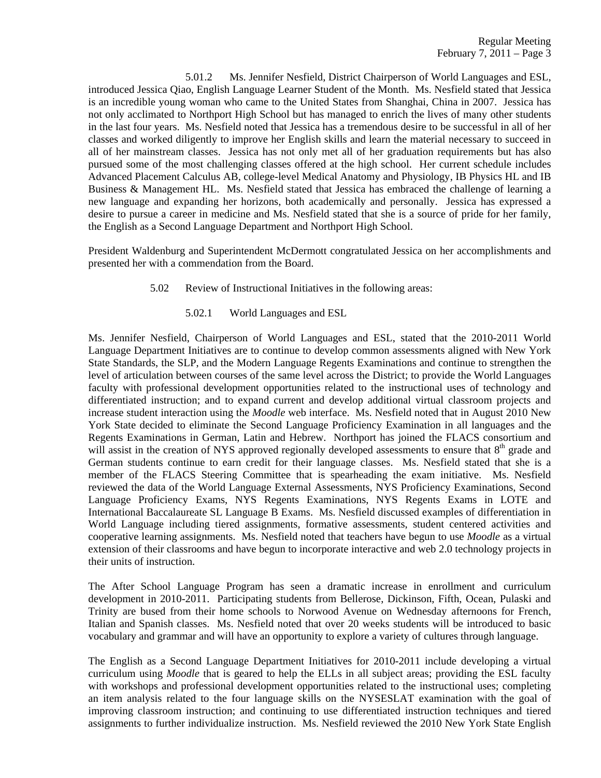5.01.2 Ms. Jennifer Nesfield, District Chairperson of World Languages and ESL, introduced Jessica Qiao, English Language Learner Student of the Month. Ms. Nesfield stated that Jessica is an incredible young woman who came to the United States from Shanghai, China in 2007. Jessica has not only acclimated to Northport High School but has managed to enrich the lives of many other students in the last four years. Ms. Nesfield noted that Jessica has a tremendous desire to be successful in all of her classes and worked diligently to improve her English skills and learn the material necessary to succeed in all of her mainstream classes. Jessica has not only met all of her graduation requirements but has also pursued some of the most challenging classes offered at the high school. Her current schedule includes Advanced Placement Calculus AB, college-level Medical Anatomy and Physiology, IB Physics HL and IB Business & Management HL. Ms. Nesfield stated that Jessica has embraced the challenge of learning a new language and expanding her horizons, both academically and personally. Jessica has expressed a desire to pursue a career in medicine and Ms. Nesfield stated that she is a source of pride for her family, the English as a Second Language Department and Northport High School.

President Waldenburg and Superintendent McDermott congratulated Jessica on her accomplishments and presented her with a commendation from the Board.

- 5.02 Review of Instructional Initiatives in the following areas:
	- 5.02.1 World Languages and ESL

Ms. Jennifer Nesfield, Chairperson of World Languages and ESL, stated that the 2010-2011 World Language Department Initiatives are to continue to develop common assessments aligned with New York State Standards, the SLP, and the Modern Language Regents Examinations and continue to strengthen the level of articulation between courses of the same level across the District; to provide the World Languages faculty with professional development opportunities related to the instructional uses of technology and differentiated instruction; and to expand current and develop additional virtual classroom projects and increase student interaction using the *Moodle* web interface. Ms. Nesfield noted that in August 2010 New York State decided to eliminate the Second Language Proficiency Examination in all languages and the Regents Examinations in German, Latin and Hebrew. Northport has joined the FLACS consortium and will assist in the creation of NYS approved regionally developed assessments to ensure that  $8<sup>th</sup>$  grade and German students continue to earn credit for their language classes. Ms. Nesfield stated that she is a member of the FLACS Steering Committee that is spearheading the exam initiative. Ms. Nesfield reviewed the data of the World Language External Assessments, NYS Proficiency Examinations, Second Language Proficiency Exams, NYS Regents Examinations, NYS Regents Exams in LOTE and International Baccalaureate SL Language B Exams. Ms. Nesfield discussed examples of differentiation in World Language including tiered assignments, formative assessments, student centered activities and cooperative learning assignments. Ms. Nesfield noted that teachers have begun to use *Moodle* as a virtual extension of their classrooms and have begun to incorporate interactive and web 2.0 technology projects in their units of instruction.

The After School Language Program has seen a dramatic increase in enrollment and curriculum development in 2010-2011. Participating students from Bellerose, Dickinson, Fifth, Ocean, Pulaski and Trinity are bused from their home schools to Norwood Avenue on Wednesday afternoons for French, Italian and Spanish classes. Ms. Nesfield noted that over 20 weeks students will be introduced to basic vocabulary and grammar and will have an opportunity to explore a variety of cultures through language.

The English as a Second Language Department Initiatives for 2010-2011 include developing a virtual curriculum using *Moodle* that is geared to help the ELLs in all subject areas; providing the ESL faculty with workshops and professional development opportunities related to the instructional uses; completing an item analysis related to the four language skills on the NYSESLAT examination with the goal of improving classroom instruction; and continuing to use differentiated instruction techniques and tiered assignments to further individualize instruction. Ms. Nesfield reviewed the 2010 New York State English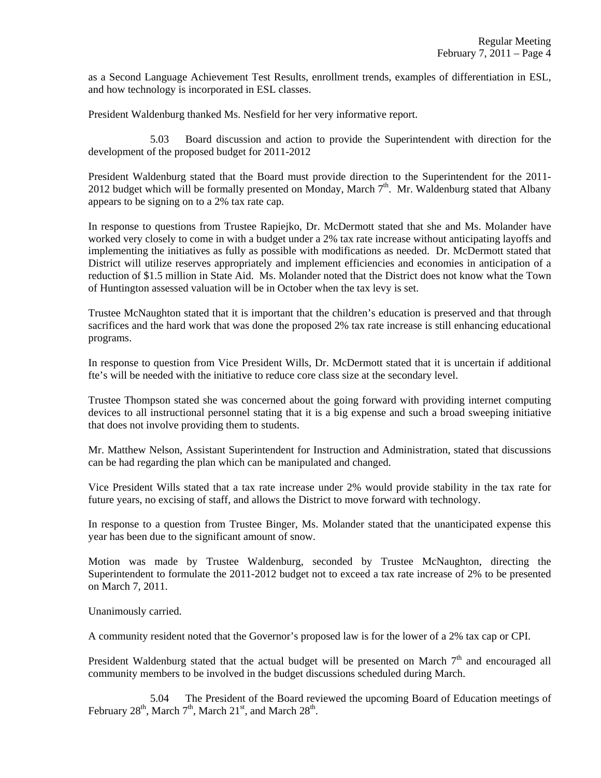as a Second Language Achievement Test Results, enrollment trends, examples of differentiation in ESL, and how technology is incorporated in ESL classes.

President Waldenburg thanked Ms. Nesfield for her very informative report.

 5.03 Board discussion and action to provide the Superintendent with direction for the development of the proposed budget for 2011-2012

President Waldenburg stated that the Board must provide direction to the Superintendent for the 2011- 2012 budget which will be formally presented on Monday, March  $7<sup>th</sup>$ . Mr. Waldenburg stated that Albany appears to be signing on to a 2% tax rate cap.

In response to questions from Trustee Rapiejko, Dr. McDermott stated that she and Ms. Molander have worked very closely to come in with a budget under a 2% tax rate increase without anticipating layoffs and implementing the initiatives as fully as possible with modifications as needed. Dr. McDermott stated that District will utilize reserves appropriately and implement efficiencies and economies in anticipation of a reduction of \$1.5 million in State Aid. Ms. Molander noted that the District does not know what the Town of Huntington assessed valuation will be in October when the tax levy is set.

Trustee McNaughton stated that it is important that the children's education is preserved and that through sacrifices and the hard work that was done the proposed 2% tax rate increase is still enhancing educational programs.

In response to question from Vice President Wills, Dr. McDermott stated that it is uncertain if additional fte's will be needed with the initiative to reduce core class size at the secondary level.

Trustee Thompson stated she was concerned about the going forward with providing internet computing devices to all instructional personnel stating that it is a big expense and such a broad sweeping initiative that does not involve providing them to students.

Mr. Matthew Nelson, Assistant Superintendent for Instruction and Administration, stated that discussions can be had regarding the plan which can be manipulated and changed.

Vice President Wills stated that a tax rate increase under 2% would provide stability in the tax rate for future years, no excising of staff, and allows the District to move forward with technology.

In response to a question from Trustee Binger, Ms. Molander stated that the unanticipated expense this year has been due to the significant amount of snow.

Motion was made by Trustee Waldenburg, seconded by Trustee McNaughton, directing the Superintendent to formulate the 2011-2012 budget not to exceed a tax rate increase of 2% to be presented on March 7, 2011.

Unanimously carried.

A community resident noted that the Governor's proposed law is for the lower of a 2% tax cap or CPI.

President Waldenburg stated that the actual budget will be presented on March  $7<sup>th</sup>$  and encouraged all community members to be involved in the budget discussions scheduled during March.

 5.04 The President of the Board reviewed the upcoming Board of Education meetings of February 28<sup>th</sup>, March 7<sup>th</sup>, March 21<sup>st</sup>, and March 28<sup>th</sup>.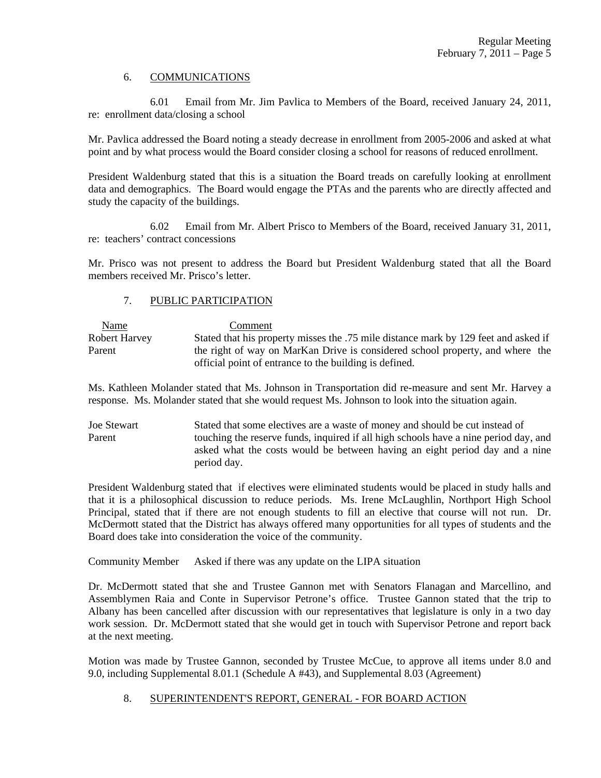## 6. COMMUNICATIONS

 6.01 Email from Mr. Jim Pavlica to Members of the Board, received January 24, 2011, re: enrollment data/closing a school

Mr. Pavlica addressed the Board noting a steady decrease in enrollment from 2005-2006 and asked at what point and by what process would the Board consider closing a school for reasons of reduced enrollment.

President Waldenburg stated that this is a situation the Board treads on carefully looking at enrollment data and demographics. The Board would engage the PTAs and the parents who are directly affected and study the capacity of the buildings.

 6.02 Email from Mr. Albert Prisco to Members of the Board, received January 31, 2011, re: teachers' contract concessions

Mr. Prisco was not present to address the Board but President Waldenburg stated that all the Board members received Mr. Prisco's letter.

## 7. PUBLIC PARTICIPATION

| Name                 | Comment                                                                             |
|----------------------|-------------------------------------------------------------------------------------|
| <b>Robert Harvey</b> | Stated that his property misses the .75 mile distance mark by 129 feet and asked if |
| Parent               | the right of way on MarKan Drive is considered school property, and where the       |
|                      | official point of entrance to the building is defined.                              |

Ms. Kathleen Molander stated that Ms. Johnson in Transportation did re-measure and sent Mr. Harvey a response. Ms. Molander stated that she would request Ms. Johnson to look into the situation again.

Joe Stewart Stated that some electives are a waste of money and should be cut instead of Parent touching the reserve funds, inquired if all high schools have a nine period day, and asked what the costs would be between having an eight period day and a nine period day.

President Waldenburg stated that if electives were eliminated students would be placed in study halls and that it is a philosophical discussion to reduce periods. Ms. Irene McLaughlin, Northport High School Principal, stated that if there are not enough students to fill an elective that course will not run. Dr. McDermott stated that the District has always offered many opportunities for all types of students and the Board does take into consideration the voice of the community.

Community Member Asked if there was any update on the LIPA situation

Dr. McDermott stated that she and Trustee Gannon met with Senators Flanagan and Marcellino, and Assemblymen Raia and Conte in Supervisor Petrone's office. Trustee Gannon stated that the trip to Albany has been cancelled after discussion with our representatives that legislature is only in a two day work session. Dr. McDermott stated that she would get in touch with Supervisor Petrone and report back at the next meeting.

Motion was made by Trustee Gannon, seconded by Trustee McCue, to approve all items under 8.0 and 9.0, including Supplemental 8.01.1 (Schedule A #43), and Supplemental 8.03 (Agreement)

# 8. SUPERINTENDENT'S REPORT, GENERAL - FOR BOARD ACTION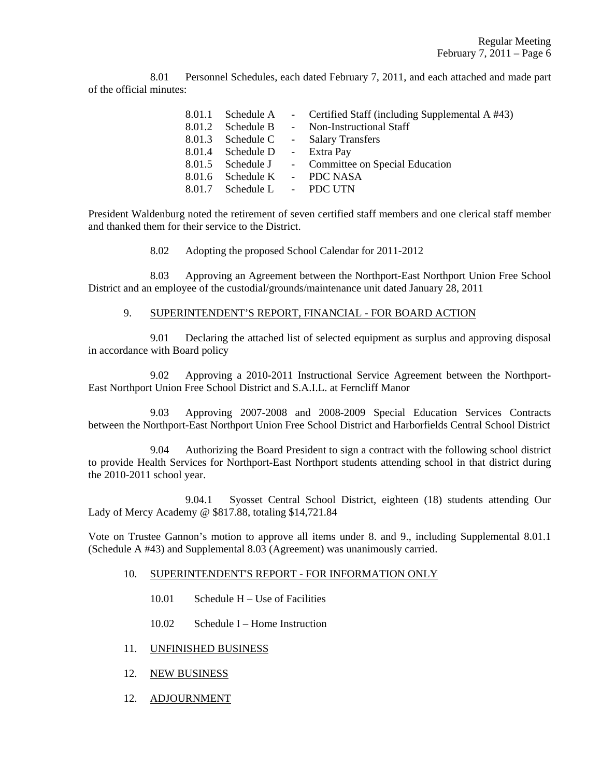8.01 Personnel Schedules, each dated February 7, 2011, and each attached and made part of the official minutes:

|                               | 8.01.1 Schedule A - Certified Staff (including Supplemental A #43) |
|-------------------------------|--------------------------------------------------------------------|
|                               | 8.01.2 Schedule B - Non-Instructional Staff                        |
|                               | 8.01.3 Schedule C - Salary Transfers                               |
| 8.01.4 Schedule D - Extra Pay |                                                                    |
|                               | 8.01.5 Schedule J - Committee on Special Education                 |
| 8.01.6 Schedule K - PDC NASA  |                                                                    |
| 8.01.7 Schedule L - PDC UTN   |                                                                    |

President Waldenburg noted the retirement of seven certified staff members and one clerical staff member and thanked them for their service to the District.

8.02 Adopting the proposed School Calendar for 2011-2012

 8.03 Approving an Agreement between the Northport-East Northport Union Free School District and an employee of the custodial/grounds/maintenance unit dated January 28, 2011

## 9. SUPERINTENDENT'S REPORT, FINANCIAL - FOR BOARD ACTION

 9.01 Declaring the attached list of selected equipment as surplus and approving disposal in accordance with Board policy

 9.02 Approving a 2010-2011 Instructional Service Agreement between the Northport-East Northport Union Free School District and S.A.I.L. at Ferncliff Manor

 9.03 Approving 2007-2008 and 2008-2009 Special Education Services Contracts between the Northport-East Northport Union Free School District and Harborfields Central School District

 9.04 Authorizing the Board President to sign a contract with the following school district to provide Health Services for Northport-East Northport students attending school in that district during the 2010-2011 school year.

 9.04.1 Syosset Central School District, eighteen (18) students attending Our Lady of Mercy Academy @ \$817.88, totaling \$14,721.84

Vote on Trustee Gannon's motion to approve all items under 8. and 9., including Supplemental 8.01.1 (Schedule A #43) and Supplemental 8.03 (Agreement) was unanimously carried.

#### 10. SUPERINTENDENT'S REPORT - FOR INFORMATION ONLY

- 10.01 Schedule H Use of Facilities
- 10.02 Schedule I Home Instruction
- 11. UNFINISHED BUSINESS
- 12. NEW BUSINESS
- 12. ADJOURNMENT